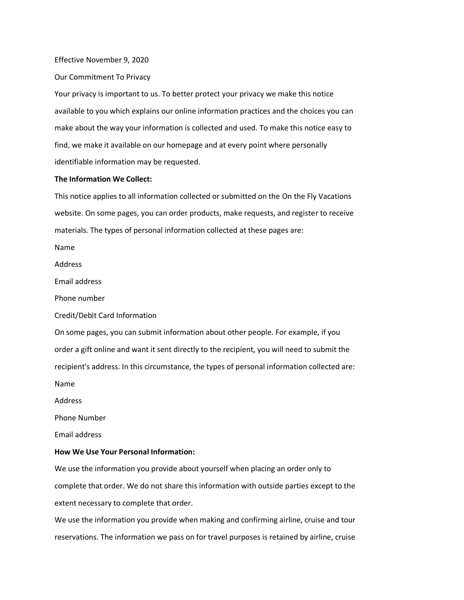#### Effective November 9, 2020

Our Commitment To Privacy

Your privacy is important to us. To better protect your privacy we make this notice available to you which explains our online information practices and the choices you can make about the way your information is collected and used. To make this notice easy to find, we make it available on our homepage and at every point where personally identifiable information may be requested.

## **The Information We Collect:**

This notice applies to all information collected or submitted on the On the Fly Vacations website. On some pages, you can order products, make requests, and register to receive materials. The types of personal information collected at these pages are:

Name

Address

Email address

Phone number

Credit/Debit Card Information

On some pages, you can submit information about other people. For example, if you order a gift online and want it sent directly to the recipient, you will need to submit the recipient's address. In this circumstance, the types of personal information collected are:

Name

Address

Phone Number

Email address

### **How We Use Your Personal Information:**

We use the information you provide about yourself when placing an order only to complete that order. We do not share this information with outside parties except to the extent necessary to complete that order.

We use the information you provide when making and confirming airline, cruise and tour reservations. The information we pass on for travel purposes is retained by airline, cruise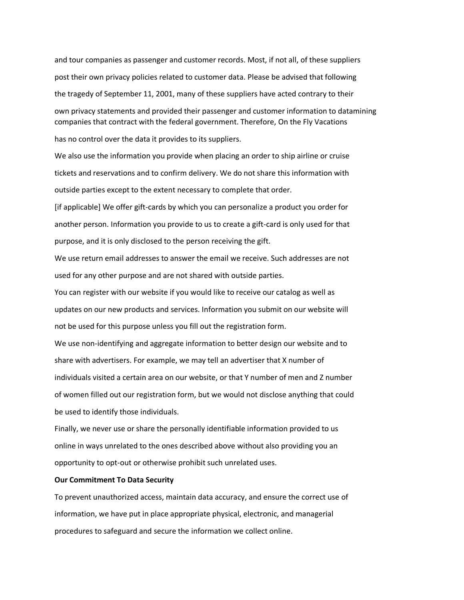and tour companies as passenger and customer records. Most, if not all, of these suppliers post their own privacy policies related to customer data. Please be advised that following the tragedy of September 11, 2001, many of these suppliers have acted contrary to their own privacy statements and provided their passenger and customer information to datamining companies that contract with the federal government. Therefore, On the Fly Vacations has no control over the data it provides to its suppliers.

We also use the information you provide when placing an order to ship airline or cruise tickets and reservations and to confirm delivery. We do not share this information with outside parties except to the extent necessary to complete that order.

[if applicable] We offer gift-cards by which you can personalize a product you order for another person. Information you provide to us to create a gift-card is only used for that purpose, and it is only disclosed to the person receiving the gift.

We use return email addresses to answer the email we receive. Such addresses are not used for any other purpose and are not shared with outside parties.

You can register with our website if you would like to receive our catalog as well as updates on our new products and services. Information you submit on our website will not be used for this purpose unless you fill out the registration form.

We use non-identifying and aggregate information to better design our website and to share with advertisers. For example, we may tell an advertiser that X number of individuals visited a certain area on our website, or that Y number of men and Z number of women filled out our registration form, but we would not disclose anything that could be used to identify those individuals.

Finally, we never use or share the personally identifiable information provided to us online in ways unrelated to the ones described above without also providing you an opportunity to opt-out or otherwise prohibit such unrelated uses.

#### **Our Commitment To Data Security**

To prevent unauthorized access, maintain data accuracy, and ensure the correct use of information, we have put in place appropriate physical, electronic, and managerial procedures to safeguard and secure the information we collect online.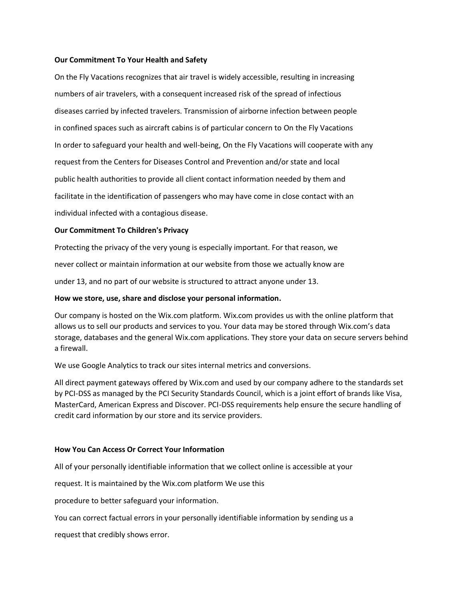## **Our Commitment To Your Health and Safety**

On the Fly Vacations recognizes that air travel is widely accessible, resulting in increasing numbers of air travelers, with a consequent increased risk of the spread of infectious diseases carried by infected travelers. Transmission of airborne infection between people in confined spaces such as aircraft cabins is of particular concern to On the Fly Vacations In order to safeguard your health and well-being, On the Fly Vacations will cooperate with any request from the Centers for Diseases Control and Prevention and/or state and local public health authorities to provide all client contact information needed by them and facilitate in the identification of passengers who may have come in close contact with an individual infected with a contagious disease.

## **Our Commitment To Children's Privacy**

Protecting the privacy of the very young is especially important. For that reason, we

never collect or maintain information at our website from those we actually know are

under 13, and no part of our website is structured to attract anyone under 13.

## **How we store, use, share and disclose your personal information.**

Our company is hosted on the Wix.com platform. Wix.com provides us with the online platform that allows us to sell our products and services to you. Your data may be stored through Wix.com's data storage, databases and the general Wix.com applications. They store your data on secure servers behind a firewall.

We use Google Analytics to track our sites internal metrics and conversions.

All direct payment gateways offered by Wix.com and used by our company adhere to the standards set by PCI-DSS as managed by the PCI Security Standards Council, which is a joint effort of brands like Visa, MasterCard, American Express and Discover. PCI-DSS requirements help ensure the secure handling of credit card information by our store and its service providers.

### **How You Can Access Or Correct Your Information**

All of your personally identifiable information that we collect online is accessible at your

request. It is maintained by the Wix.com platform We use this

procedure to better safeguard your information.

You can correct factual errors in your personally identifiable information by sending us a

request that credibly shows error.